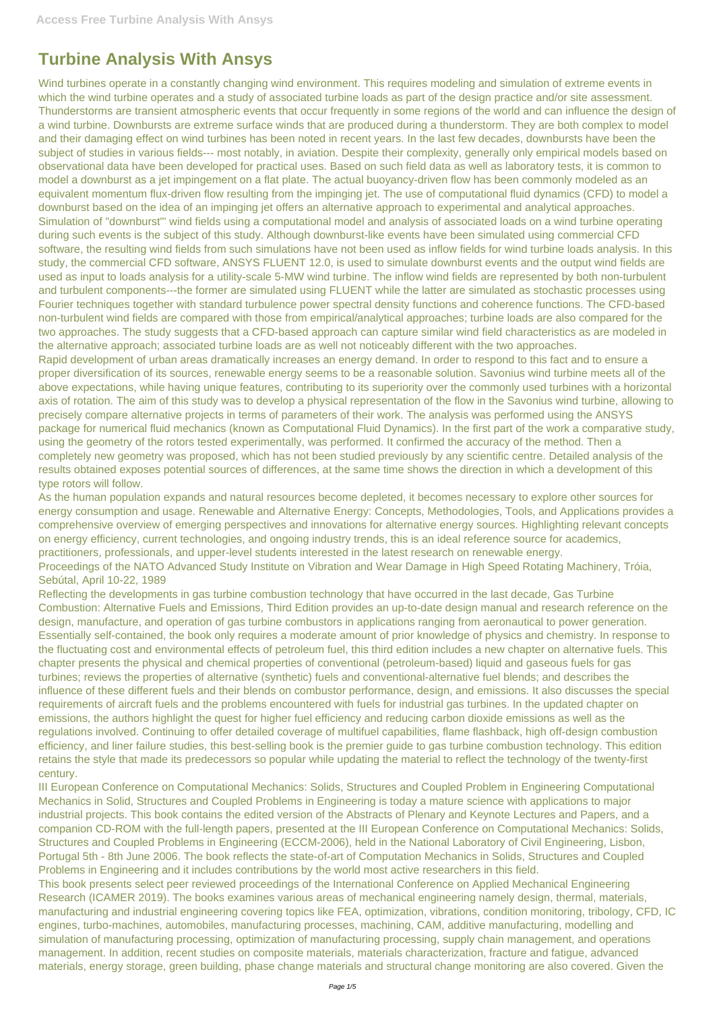## **Turbine Analysis With Ansys**

Wind turbines operate in a constantly changing wind environment. This requires modeling and simulation of extreme events in which the wind turbine operates and a study of associated turbine loads as part of the design practice and/or site assessment. Thunderstorms are transient atmospheric events that occur frequently in some regions of the world and can influence the design of a wind turbine. Downbursts are extreme surface winds that are produced during a thunderstorm. They are both complex to model and their damaging effect on wind turbines has been noted in recent years. In the last few decades, downbursts have been the subject of studies in various fields--- most notably, in aviation. Despite their complexity, generally only empirical models based on observational data have been developed for practical uses. Based on such field data as well as laboratory tests, it is common to model a downburst as a jet impingement on a flat plate. The actual buoyancy-driven flow has been commonly modeled as an equivalent momentum flux-driven flow resulting from the impinging jet. The use of computational fluid dynamics (CFD) to model a downburst based on the idea of an impinging jet offers an alternative approach to experimental and analytical approaches. Simulation of "downburst"' wind fields using a computational model and analysis of associated loads on a wind turbine operating during such events is the subject of this study. Although downburst-like events have been simulated using commercial CFD software, the resulting wind fields from such simulations have not been used as inflow fields for wind turbine loads analysis. In this study, the commercial CFD software, ANSYS FLUENT 12.0, is used to simulate downburst events and the output wind fields are used as input to loads analysis for a utility-scale 5-MW wind turbine. The inflow wind fields are represented by both non-turbulent and turbulent components---the former are simulated using FLUENT while the latter are simulated as stochastic processes using Fourier techniques together with standard turbulence power spectral density functions and coherence functions. The CFD-based non-turbulent wind fields are compared with those from empirical/analytical approaches; turbine loads are also compared for the two approaches. The study suggests that a CFD-based approach can capture similar wind field characteristics as are modeled in the alternative approach; associated turbine loads are as well not noticeably different with the two approaches.

Rapid development of urban areas dramatically increases an energy demand. In order to respond to this fact and to ensure a proper diversification of its sources, renewable energy seems to be a reasonable solution. Savonius wind turbine meets all of the above expectations, while having unique features, contributing to its superiority over the commonly used turbines with a horizontal axis of rotation. The aim of this study was to develop a physical representation of the flow in the Savonius wind turbine, allowing to precisely compare alternative projects in terms of parameters of their work. The analysis was performed using the ANSYS package for numerical fluid mechanics (known as Computational Fluid Dynamics). In the first part of the work a comparative study, using the geometry of the rotors tested experimentally, was performed. It confirmed the accuracy of the method. Then a completely new geometry was proposed, which has not been studied previously by any scientific centre. Detailed analysis of the results obtained exposes potential sources of differences, at the same time shows the direction in which a development of this type rotors will follow.

As the human population expands and natural resources become depleted, it becomes necessary to explore other sources for energy consumption and usage. Renewable and Alternative Energy: Concepts, Methodologies, Tools, and Applications provides a comprehensive overview of emerging perspectives and innovations for alternative energy sources. Highlighting relevant concepts on energy efficiency, current technologies, and ongoing industry trends, this is an ideal reference source for academics, practitioners, professionals, and upper-level students interested in the latest research on renewable energy. Proceedings of the NATO Advanced Study Institute on Vibration and Wear Damage in High Speed Rotating Machinery, Tróia,

Sebútal, April 10-22, 1989 Reflecting the developments in gas turbine combustion technology that have occurred in the last decade, Gas Turbine

Combustion: Alternative Fuels and Emissions, Third Edition provides an up-to-date design manual and research reference on the design, manufacture, and operation of gas turbine combustors in applications ranging from aeronautical to power generation. Essentially self-contained, the book only requires a moderate amount of prior knowledge of physics and chemistry. In response to the fluctuating cost and environmental effects of petroleum fuel, this third edition includes a new chapter on alternative fuels. This chapter presents the physical and chemical properties of conventional (petroleum-based) liquid and gaseous fuels for gas turbines; reviews the properties of alternative (synthetic) fuels and conventional-alternative fuel blends; and describes the influence of these different fuels and their blends on combustor performance, design, and emissions. It also discusses the special requirements of aircraft fuels and the problems encountered with fuels for industrial gas turbines. In the updated chapter on emissions, the authors highlight the quest for higher fuel efficiency and reducing carbon dioxide emissions as well as the regulations involved. Continuing to offer detailed coverage of multifuel capabilities, flame flashback, high off-design combustion efficiency, and liner failure studies, this best-selling book is the premier guide to gas turbine combustion technology. This edition retains the style that made its predecessors so popular while updating the material to reflect the technology of the twenty-first

century.

III European Conference on Computational Mechanics: Solids, Structures and Coupled Problem in Engineering Computational Mechanics in Solid, Structures and Coupled Problems in Engineering is today a mature science with applications to major industrial projects. This book contains the edited version of the Abstracts of Plenary and Keynote Lectures and Papers, and a companion CD-ROM with the full-length papers, presented at the III European Conference on Computational Mechanics: Solids, Structures and Coupled Problems in Engineering (ECCM-2006), held in the National Laboratory of Civil Engineering, Lisbon, Portugal 5th - 8th June 2006. The book reflects the state-of-art of Computation Mechanics in Solids, Structures and Coupled Problems in Engineering and it includes contributions by the world most active researchers in this field. This book presents select peer reviewed proceedings of the International Conference on Applied Mechanical Engineering Research (ICAMER 2019). The books examines various areas of mechanical engineering namely design, thermal, materials, manufacturing and industrial engineering covering topics like FEA, optimization, vibrations, condition monitoring, tribology, CFD, IC engines, turbo-machines, automobiles, manufacturing processes, machining, CAM, additive manufacturing, modelling and simulation of manufacturing processing, optimization of manufacturing processing, supply chain management, and operations management. In addition, recent studies on composite materials, materials characterization, fracture and fatigue, advanced materials, energy storage, green building, phase change materials and structural change monitoring are also covered. Given the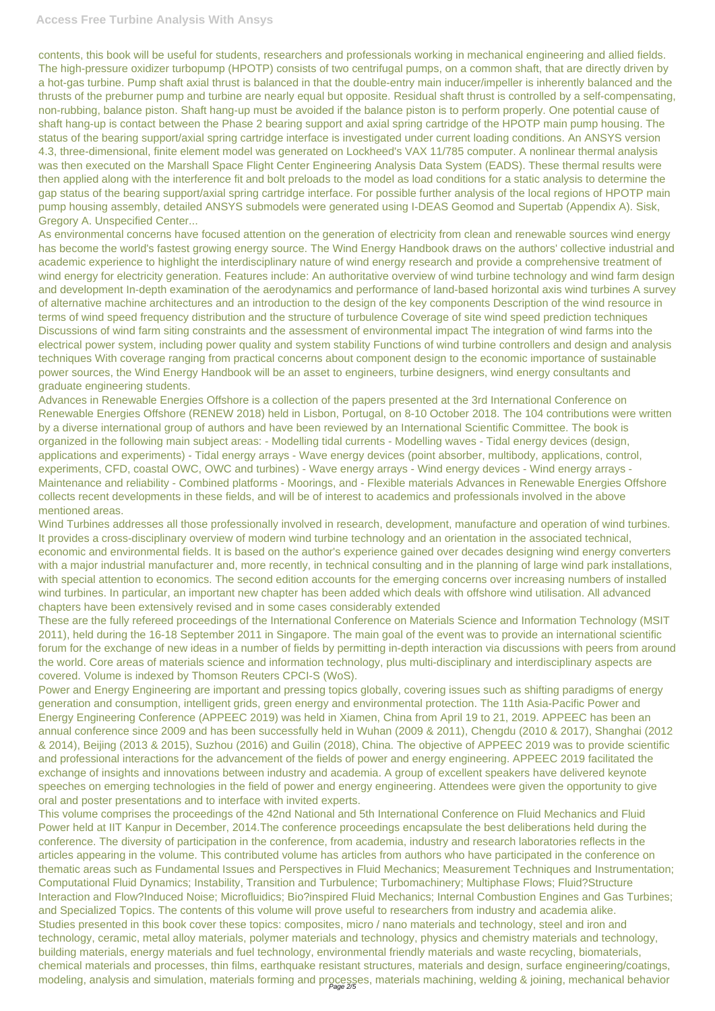contents, this book will be useful for students, researchers and professionals working in mechanical engineering and allied fields. The high-pressure oxidizer turbopump (HPOTP) consists of two centrifugal pumps, on a common shaft, that are directly driven by a hot-gas turbine. Pump shaft axial thrust is balanced in that the double-entry main inducer/impeller is inherently balanced and the thrusts of the preburner pump and turbine are nearly equal but opposite. Residual shaft thrust is controlled by a self-compensating, non-rubbing, balance piston. Shaft hang-up must be avoided if the balance piston is to perform properly. One potential cause of shaft hang-up is contact between the Phase 2 bearing support and axial spring cartridge of the HPOTP main pump housing. The status of the bearing support/axial spring cartridge interface is investigated under current loading conditions. An ANSYS version 4.3, three-dimensional, finite element model was generated on Lockheed's VAX 11/785 computer. A nonlinear thermal analysis was then executed on the Marshall Space Flight Center Engineering Analysis Data System (EADS). These thermal results were then applied along with the interference fit and bolt preloads to the model as load conditions for a static analysis to determine the gap status of the bearing support/axial spring cartridge interface. For possible further analysis of the local regions of HPOTP main pump housing assembly, detailed ANSYS submodels were generated using I-DEAS Geomod and Supertab (Appendix A). Sisk, Gregory A. Unspecified Center...

As environmental concerns have focused attention on the generation of electricity from clean and renewable sources wind energy has become the world's fastest growing energy source. The Wind Energy Handbook draws on the authors' collective industrial and academic experience to highlight the interdisciplinary nature of wind energy research and provide a comprehensive treatment of wind energy for electricity generation. Features include: An authoritative overview of wind turbine technology and wind farm design and development In-depth examination of the aerodynamics and performance of land-based horizontal axis wind turbines A survey of alternative machine architectures and an introduction to the design of the key components Description of the wind resource in terms of wind speed frequency distribution and the structure of turbulence Coverage of site wind speed prediction techniques Discussions of wind farm siting constraints and the assessment of environmental impact The integration of wind farms into the electrical power system, including power quality and system stability Functions of wind turbine controllers and design and analysis techniques With coverage ranging from practical concerns about component design to the economic importance of sustainable power sources, the Wind Energy Handbook will be an asset to engineers, turbine designers, wind energy consultants and graduate engineering students.

This volume comprises the proceedings of the 42nd National and 5th International Conference on Fluid Mechanics and Fluid Power held at IIT Kanpur in December, 2014.The conference proceedings encapsulate the best deliberations held during the conference. The diversity of participation in the conference, from academia, industry and research laboratories reflects in the articles appearing in the volume. This contributed volume has articles from authors who have participated in the conference on thematic areas such as Fundamental Issues and Perspectives in Fluid Mechanics; Measurement Techniques and Instrumentation; Computational Fluid Dynamics; Instability, Transition and Turbulence; Turbomachinery; Multiphase Flows; Fluid?Structure Interaction and Flow?Induced Noise; Microfluidics; Bio?inspired Fluid Mechanics; Internal Combustion Engines and Gas Turbines; and Specialized Topics. The contents of this volume will prove useful to researchers from industry and academia alike. Studies presented in this book cover these topics: composites, micro / nano materials and technology, steel and iron and technology, ceramic, metal alloy materials, polymer materials and technology, physics and chemistry materials and technology, building materials, energy materials and fuel technology, environmental friendly materials and waste recycling, biomaterials, chemical materials and processes, thin films, earthquake resistant structures, materials and design, surface engineering/coatings, modeling, analysis and simulation, materials forming and processes, materials machining, welding & joining, mechanical behavior

Advances in Renewable Energies Offshore is a collection of the papers presented at the 3rd International Conference on Renewable Energies Offshore (RENEW 2018) held in Lisbon, Portugal, on 8-10 October 2018. The 104 contributions were written by a diverse international group of authors and have been reviewed by an International Scientific Committee. The book is organized in the following main subject areas: - Modelling tidal currents - Modelling waves - Tidal energy devices (design, applications and experiments) - Tidal energy arrays - Wave energy devices (point absorber, multibody, applications, control, experiments, CFD, coastal OWC, OWC and turbines) - Wave energy arrays - Wind energy devices - Wind energy arrays - Maintenance and reliability - Combined platforms - Moorings, and - Flexible materials Advances in Renewable Energies Offshore collects recent developments in these fields, and will be of interest to academics and professionals involved in the above mentioned areas.

Wind Turbines addresses all those professionally involved in research, development, manufacture and operation of wind turbines. It provides a cross-disciplinary overview of modern wind turbine technology and an orientation in the associated technical, economic and environmental fields. It is based on the author's experience gained over decades designing wind energy converters with a major industrial manufacturer and, more recently, in technical consulting and in the planning of large wind park installations, with special attention to economics. The second edition accounts for the emerging concerns over increasing numbers of installed wind turbines. In particular, an important new chapter has been added which deals with offshore wind utilisation. All advanced chapters have been extensively revised and in some cases considerably extended

These are the fully refereed proceedings of the International Conference on Materials Science and Information Technology (MSIT 2011), held during the 16-18 September 2011 in Singapore. The main goal of the event was to provide an international scientific forum for the exchange of new ideas in a number of fields by permitting in-depth interaction via discussions with peers from around the world. Core areas of materials science and information technology, plus multi-disciplinary and interdisciplinary aspects are covered. Volume is indexed by Thomson Reuters CPCI-S (WoS).

Power and Energy Engineering are important and pressing topics globally, covering issues such as shifting paradigms of energy generation and consumption, intelligent grids, green energy and environmental protection. The 11th Asia-Pacific Power and Energy Engineering Conference (APPEEC 2019) was held in Xiamen, China from April 19 to 21, 2019. APPEEC has been an annual conference since 2009 and has been successfully held in Wuhan (2009 & 2011), Chengdu (2010 & 2017), Shanghai (2012 & 2014), Beijing (2013 & 2015), Suzhou (2016) and Guilin (2018), China. The objective of APPEEC 2019 was to provide scientific and professional interactions for the advancement of the fields of power and energy engineering. APPEEC 2019 facilitated the

exchange of insights and innovations between industry and academia. A group of excellent speakers have delivered keynote speeches on emerging technologies in the field of power and energy engineering. Attendees were given the opportunity to give oral and poster presentations and to interface with invited experts.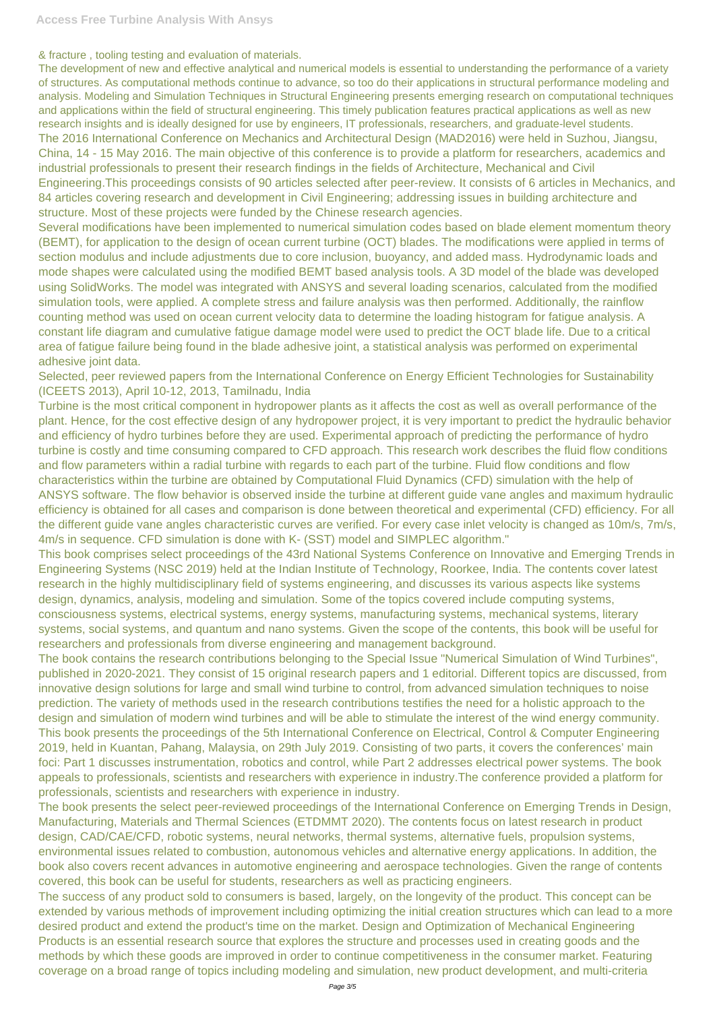& fracture , tooling testing and evaluation of materials.

Several modifications have been implemented to numerical simulation codes based on blade element momentum theory (BEMT), for application to the design of ocean current turbine (OCT) blades. The modifications were applied in terms of section modulus and include adjustments due to core inclusion, buoyancy, and added mass. Hydrodynamic loads and mode shapes were calculated using the modified BEMT based analysis tools. A 3D model of the blade was developed using SolidWorks. The model was integrated with ANSYS and several loading scenarios, calculated from the modified simulation tools, were applied. A complete stress and failure analysis was then performed. Additionally, the rainflow counting method was used on ocean current velocity data to determine the loading histogram for fatigue analysis. A constant life diagram and cumulative fatigue damage model were used to predict the OCT blade life. Due to a critical area of fatigue failure being found in the blade adhesive joint, a statistical analysis was performed on experimental adhesive joint data.

The development of new and effective analytical and numerical models is essential to understanding the performance of a variety of structures. As computational methods continue to advance, so too do their applications in structural performance modeling and analysis. Modeling and Simulation Techniques in Structural Engineering presents emerging research on computational techniques and applications within the field of structural engineering. This timely publication features practical applications as well as new research insights and is ideally designed for use by engineers, IT professionals, researchers, and graduate-level students. The 2016 International Conference on Mechanics and Architectural Design (MAD2016) were held in Suzhou, Jiangsu, China, 14 - 15 May 2016. The main objective of this conference is to provide a platform for researchers, academics and industrial professionals to present their research findings in the fields of Architecture, Mechanical and Civil Engineering.This proceedings consists of 90 articles selected after peer-review. It consists of 6 articles in Mechanics, and 84 articles covering research and development in Civil Engineering; addressing issues in building architecture and structure. Most of these projects were funded by the Chinese research agencies.

Selected, peer reviewed papers from the International Conference on Energy Efficient Technologies for Sustainability (ICEETS 2013), April 10-12, 2013, Tamilnadu, India

Turbine is the most critical component in hydropower plants as it affects the cost as well as overall performance of the plant. Hence, for the cost effective design of any hydropower project, it is very important to predict the hydraulic behavior and efficiency of hydro turbines before they are used. Experimental approach of predicting the performance of hydro turbine is costly and time consuming compared to CFD approach. This research work describes the fluid flow conditions and flow parameters within a radial turbine with regards to each part of the turbine. Fluid flow conditions and flow characteristics within the turbine are obtained by Computational Fluid Dynamics (CFD) simulation with the help of ANSYS software. The flow behavior is observed inside the turbine at different guide vane angles and maximum hydraulic efficiency is obtained for all cases and comparison is done between theoretical and experimental (CFD) efficiency. For all the different guide vane angles characteristic curves are verified. For every case inlet velocity is changed as 10m/s, 7m/s, 4m/s in sequence. CFD simulation is done with K- (SST) model and SIMPLEC algorithm."

This book comprises select proceedings of the 43rd National Systems Conference on Innovative and Emerging Trends in Engineering Systems (NSC 2019) held at the Indian Institute of Technology, Roorkee, India. The contents cover latest research in the highly multidisciplinary field of systems engineering, and discusses its various aspects like systems design, dynamics, analysis, modeling and simulation. Some of the topics covered include computing systems, consciousness systems, electrical systems, energy systems, manufacturing systems, mechanical systems, literary systems, social systems, and quantum and nano systems. Given the scope of the contents, this book will be useful for researchers and professionals from diverse engineering and management background.

The book contains the research contributions belonging to the Special Issue "Numerical Simulation of Wind Turbines", published in 2020-2021. They consist of 15 original research papers and 1 editorial. Different topics are discussed, from innovative design solutions for large and small wind turbine to control, from advanced simulation techniques to noise prediction. The variety of methods used in the research contributions testifies the need for a holistic approach to the design and simulation of modern wind turbines and will be able to stimulate the interest of the wind energy community. This book presents the proceedings of the 5th International Conference on Electrical, Control & Computer Engineering 2019, held in Kuantan, Pahang, Malaysia, on 29th July 2019. Consisting of two parts, it covers the conferences' main foci: Part 1 discusses instrumentation, robotics and control, while Part 2 addresses electrical power systems. The book appeals to professionals, scientists and researchers with experience in industry.The conference provided a platform for professionals, scientists and researchers with experience in industry. The book presents the select peer-reviewed proceedings of the International Conference on Emerging Trends in Design, Manufacturing, Materials and Thermal Sciences (ETDMMT 2020). The contents focus on latest research in product design, CAD/CAE/CFD, robotic systems, neural networks, thermal systems, alternative fuels, propulsion systems, environmental issues related to combustion, autonomous vehicles and alternative energy applications. In addition, the book also covers recent advances in automotive engineering and aerospace technologies. Given the range of contents covered, this book can be useful for students, researchers as well as practicing engineers. The success of any product sold to consumers is based, largely, on the longevity of the product. This concept can be extended by various methods of improvement including optimizing the initial creation structures which can lead to a more desired product and extend the product's time on the market. Design and Optimization of Mechanical Engineering Products is an essential research source that explores the structure and processes used in creating goods and the

methods by which these goods are improved in order to continue competitiveness in the consumer market. Featuring coverage on a broad range of topics including modeling and simulation, new product development, and multi-criteria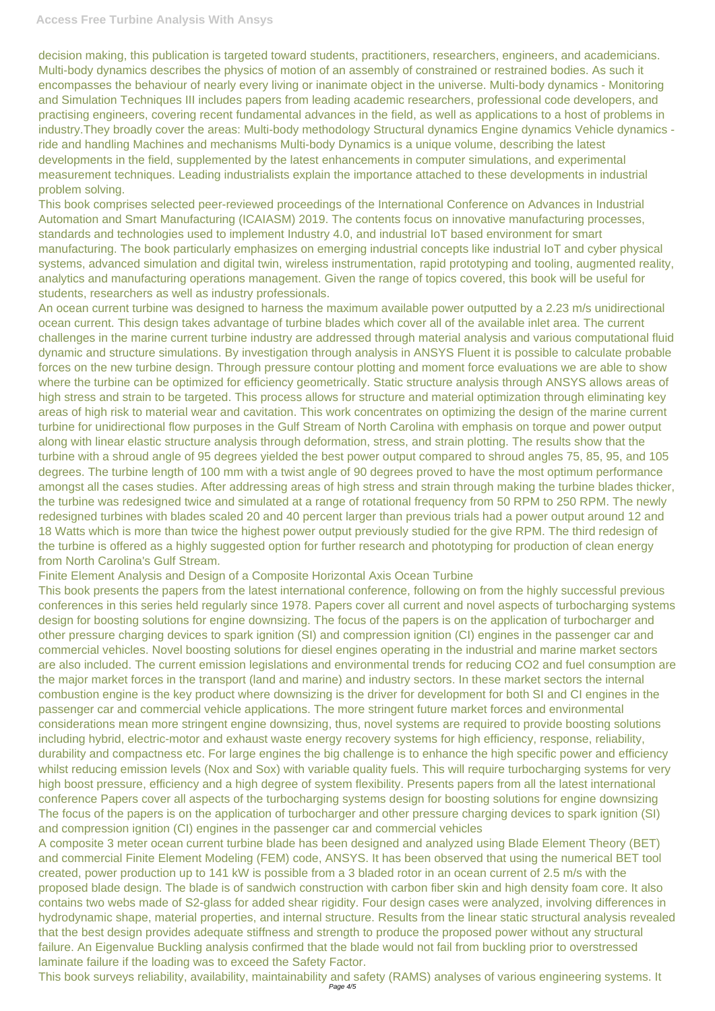## **Access Free Turbine Analysis With Ansys**

decision making, this publication is targeted toward students, practitioners, researchers, engineers, and academicians. Multi-body dynamics describes the physics of motion of an assembly of constrained or restrained bodies. As such it encompasses the behaviour of nearly every living or inanimate object in the universe. Multi-body dynamics - Monitoring and Simulation Techniques III includes papers from leading academic researchers, professional code developers, and practising engineers, covering recent fundamental advances in the field, as well as applications to a host of problems in industry.They broadly cover the areas: Multi-body methodology Structural dynamics Engine dynamics Vehicle dynamics ride and handling Machines and mechanisms Multi-body Dynamics is a unique volume, describing the latest developments in the field, supplemented by the latest enhancements in computer simulations, and experimental measurement techniques. Leading industrialists explain the importance attached to these developments in industrial problem solving.

This book comprises selected peer-reviewed proceedings of the International Conference on Advances in Industrial Automation and Smart Manufacturing (ICAIASM) 2019. The contents focus on innovative manufacturing processes, standards and technologies used to implement Industry 4.0, and industrial IoT based environment for smart manufacturing. The book particularly emphasizes on emerging industrial concepts like industrial IoT and cyber physical systems, advanced simulation and digital twin, wireless instrumentation, rapid prototyping and tooling, augmented reality, analytics and manufacturing operations management. Given the range of topics covered, this book will be useful for students, researchers as well as industry professionals.

An ocean current turbine was designed to harness the maximum available power outputted by a 2.23 m/s unidirectional ocean current. This design takes advantage of turbine blades which cover all of the available inlet area. The current challenges in the marine current turbine industry are addressed through material analysis and various computational fluid dynamic and structure simulations. By investigation through analysis in ANSYS Fluent it is possible to calculate probable forces on the new turbine design. Through pressure contour plotting and moment force evaluations we are able to show where the turbine can be optimized for efficiency geometrically. Static structure analysis through ANSYS allows areas of high stress and strain to be targeted. This process allows for structure and material optimization through eliminating key areas of high risk to material wear and cavitation. This work concentrates on optimizing the design of the marine current turbine for unidirectional flow purposes in the Gulf Stream of North Carolina with emphasis on torque and power output along with linear elastic structure analysis through deformation, stress, and strain plotting. The results show that the turbine with a shroud angle of 95 degrees yielded the best power output compared to shroud angles 75, 85, 95, and 105 degrees. The turbine length of 100 mm with a twist angle of 90 degrees proved to have the most optimum performance amongst all the cases studies. After addressing areas of high stress and strain through making the turbine blades thicker, the turbine was redesigned twice and simulated at a range of rotational frequency from 50 RPM to 250 RPM. The newly redesigned turbines with blades scaled 20 and 40 percent larger than previous trials had a power output around 12 and 18 Watts which is more than twice the highest power output previously studied for the give RPM. The third redesign of the turbine is offered as a highly suggested option for further research and phototyping for production of clean energy from North Carolina's Gulf Stream.

Finite Element Analysis and Design of a Composite Horizontal Axis Ocean Turbine

This book presents the papers from the latest international conference, following on from the highly successful previous conferences in this series held regularly since 1978. Papers cover all current and novel aspects of turbocharging systems design for boosting solutions for engine downsizing. The focus of the papers is on the application of turbocharger and other pressure charging devices to spark ignition (SI) and compression ignition (CI) engines in the passenger car and commercial vehicles. Novel boosting solutions for diesel engines operating in the industrial and marine market sectors are also included. The current emission legislations and environmental trends for reducing CO2 and fuel consumption are the major market forces in the transport (land and marine) and industry sectors. In these market sectors the internal combustion engine is the key product where downsizing is the driver for development for both SI and CI engines in the passenger car and commercial vehicle applications. The more stringent future market forces and environmental considerations mean more stringent engine downsizing, thus, novel systems are required to provide boosting solutions including hybrid, electric-motor and exhaust waste energy recovery systems for high efficiency, response, reliability, durability and compactness etc. For large engines the big challenge is to enhance the high specific power and efficiency

whilst reducing emission levels (Nox and Sox) with variable quality fuels. This will require turbocharging systems for very high boost pressure, efficiency and a high degree of system flexibility. Presents papers from all the latest international conference Papers cover all aspects of the turbocharging systems design for boosting solutions for engine downsizing The focus of the papers is on the application of turbocharger and other pressure charging devices to spark ignition (SI) and compression ignition (CI) engines in the passenger car and commercial vehicles

A composite 3 meter ocean current turbine blade has been designed and analyzed using Blade Element Theory (BET) and commercial Finite Element Modeling (FEM) code, ANSYS. It has been observed that using the numerical BET tool created, power production up to 141 kW is possible from a 3 bladed rotor in an ocean current of 2.5 m/s with the proposed blade design. The blade is of sandwich construction with carbon fiber skin and high density foam core. It also contains two webs made of S2-glass for added shear rigidity. Four design cases were analyzed, involving differences in hydrodynamic shape, material properties, and internal structure. Results from the linear static structural analysis revealed that the best design provides adequate stiffness and strength to produce the proposed power without any structural failure. An Eigenvalue Buckling analysis confirmed that the blade would not fail from buckling prior to overstressed laminate failure if the loading was to exceed the Safety Factor.

This book surveys reliability, availability, maintainability and safety (RAMS) analyses of various engineering systems. It Page 4/5